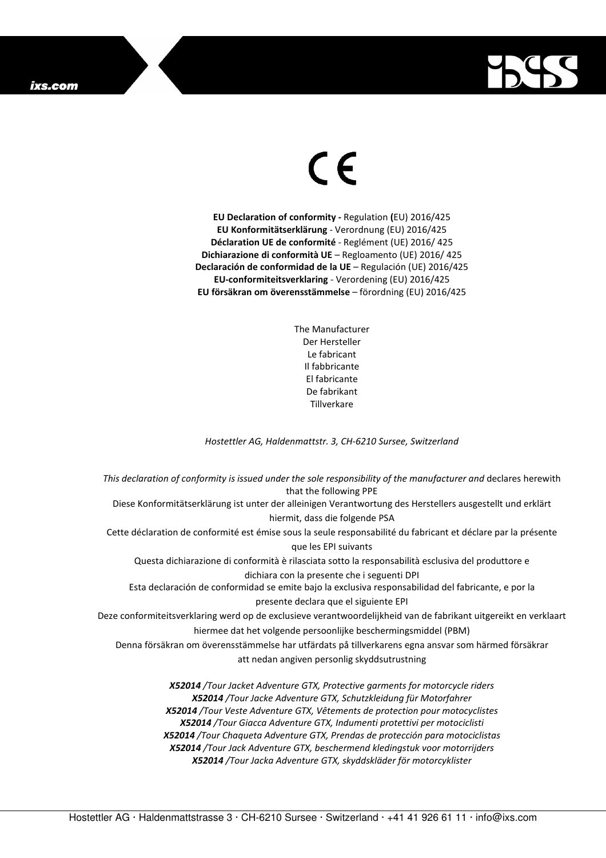## ixs.com



## $\in$

**EU Declaration of conformity -** Regulation **(**EU) 2016/425 **EU Konformitätserklärung** - Verordnung (EU) 2016/425 **Déclaration UE de conformité** - Reglément (UE) 2016/ 425 **Dichiarazione di conformità UE** – Regloamento (UE) 2016/ 425 **Declaración de conformidad de la UE** – Regulación (UE) 2016/425 **EU-conformiteitsverklaring** - Verordening (EU) 2016/425 **EU försäkran om överensstämmelse** – förordning (EU) 2016/425

> The Manufacturer Der Hersteller Le fabricant Il fabbricante El fabricante De fabrikant **Tillverkare**

*Hostettler AG, Haldenmattstr. 3, CH-6210 Sursee, Switzerland* 

*This declaration of conformity is issued under the sole responsibility of the manufacturer and* declares herewith that the following PPE Diese Konformitätserklärung ist unter der alleinigen Verantwortung des Herstellers ausgestellt und erklärt hiermit, dass die folgende PSA Cette déclaration de conformité est émise sous la seule responsabilité du fabricant et déclare par la présente que les EPI suivants Questa dichiarazione di conformità è rilasciata sotto la responsabilità esclusiva del produttore e dichiara con la presente che i seguenti DPI Esta declaración de conformidad se emite bajo la exclusiva responsabilidad del fabricante, e por la presente declara que el siguiente EPI Deze conformiteitsverklaring werd op de exclusieve verantwoordelijkheid van de fabrikant uitgereikt en verklaart hiermee dat het volgende persoonlijke beschermingsmiddel (PBM) Denna försäkran om överensstämmelse har utfärdats på tillverkarens egna ansvar som härmed försäkrar att nedan angiven personlig skyddsutrustning *X52014 /Tour Jacket Adventure GTX, Protective garments for motorcycle riders X52014 /Tour Jacke Adventure GTX, Schutzkleidung für Motorfahrer X52014 /Tour Veste Adventure GTX, Vêtements de protection pour motocyclistes X52014 /Tour Giacca Adventure GTX, Indumenti protettivi per motociclisti* 

> *X52014 /Tour Chaqueta Adventure GTX, Prendas de protección para motociclistas X52014 /Tour Jack Adventure GTX, beschermend kledingstuk voor motorrijders X52014 /Tour Jacka Adventure GTX, skyddskläder för motorcyklister*

Hostettler AG · Haldenmattstrasse 3 · CH-6210 Sursee · Switzerland · +41 41 926 61 11 · info@ixs.com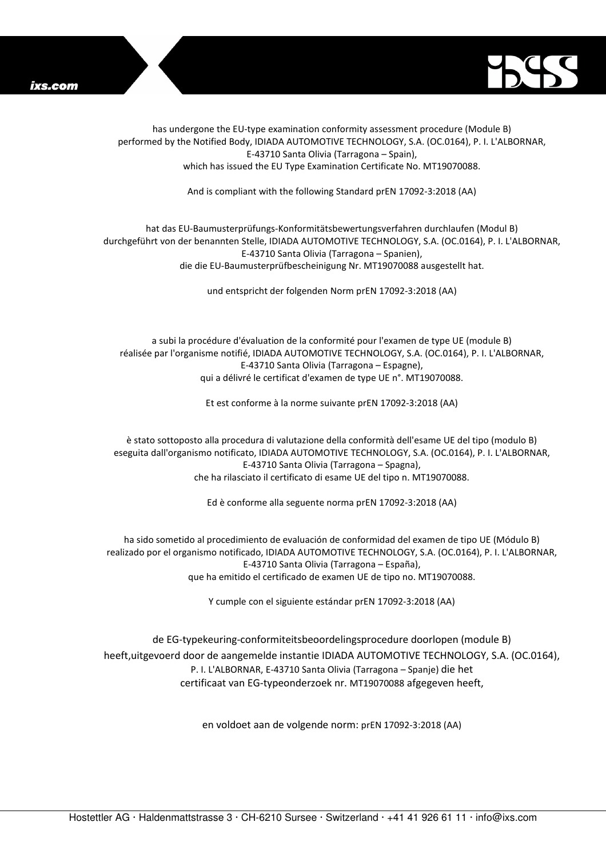



has undergone the EU-type examination conformity assessment procedure (Module B) performed by the Notified Body, IDIADA AUTOMOTIVE TECHNOLOGY, S.A. (OC.0164), P. I. L'ALBORNAR, E-43710 Santa Olivia (Tarragona – Spain), which has issued the EU Type Examination Certificate No. MT19070088.

And is compliant with the following Standard prEN 17092-3:2018 (AA)

## hat das EU-Baumusterprüfungs-Konformitätsbewertungsverfahren durchlaufen (Modul B) durchgeführt von der benannten Stelle, IDIADA AUTOMOTIVE TECHNOLOGY, S.A. (OC.0164), P. I. L'ALBORNAR, E-43710 Santa Olivia (Tarragona – Spanien), die die EU-Baumusterprüfbescheinigung Nr. MT19070088 ausgestellt hat.

und entspricht der folgenden Norm prEN 17092-3:2018 (AA)

a subi la procédure d'évaluation de la conformité pour l'examen de type UE (module B) réalisée par l'organisme notifié, IDIADA AUTOMOTIVE TECHNOLOGY, S.A. (OC.0164), P. I. L'ALBORNAR, E-43710 Santa Olivia (Tarragona – Espagne), qui a délivré le certificat d'examen de type UE n°. MT19070088.

Et est conforme à la norme suivante prEN 17092-3:2018 (AA)

è stato sottoposto alla procedura di valutazione della conformità dell'esame UE del tipo (modulo B) eseguita dall'organismo notificato, IDIADA AUTOMOTIVE TECHNOLOGY, S.A. (OC.0164), P. I. L'ALBORNAR, E-43710 Santa Olivia (Tarragona – Spagna), che ha rilasciato il certificato di esame UE del tipo n. MT19070088.

Ed è conforme alla seguente norma prEN 17092-3:2018 (AA)

ha sido sometido al procedimiento de evaluación de conformidad del examen de tipo UE (Módulo B) realizado por el organismo notificado, IDIADA AUTOMOTIVE TECHNOLOGY, S.A. (OC.0164), P. I. L'ALBORNAR, E-43710 Santa Olivia (Tarragona – España), que ha emitido el certificado de examen UE de tipo no. MT19070088.

Y cumple con el siguiente estándar prEN 17092-3:2018 (AA)

de EG-typekeuring-conformiteitsbeoordelingsprocedure doorlopen (module B) heeft,uitgevoerd door de aangemelde instantie IDIADA AUTOMOTIVE TECHNOLOGY, S.A. (OC.0164), P. I. L'ALBORNAR, E-43710 Santa Olivia (Tarragona – Spanje) die het certificaat van EG-typeonderzoek nr. MT19070088 afgegeven heeft,

en voldoet aan de volgende norm: prEN 17092-3:2018 (AA)